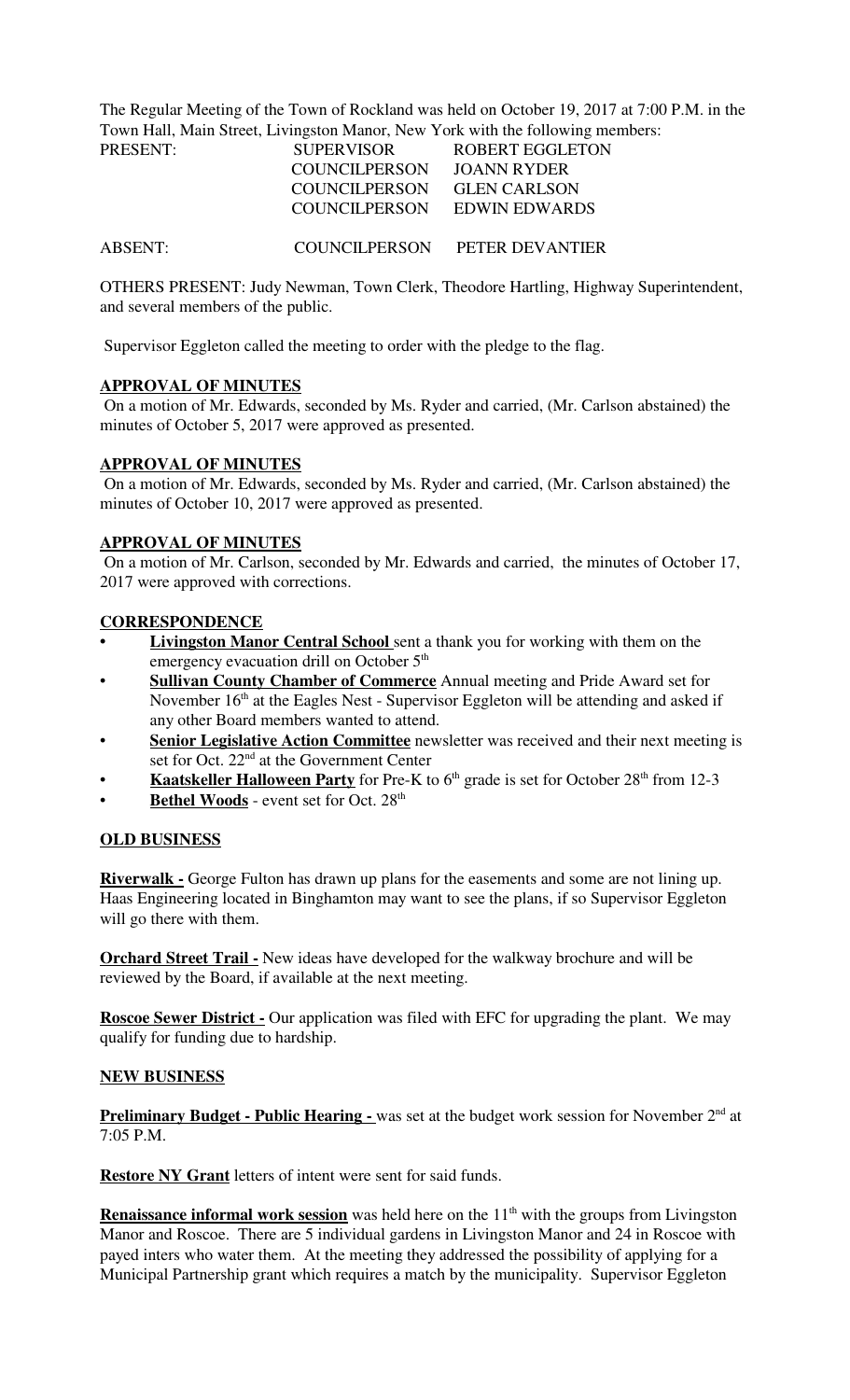The Regular Meeting of the Town of Rockland was held on October 19, 2017 at 7:00 P.M. in the Town Hall, Main Street, Livingston Manor, New York with the following members:

| PRESENT: | <b>SUPERVISOR</b> | ROBERT EGGLETON             |
|----------|-------------------|-----------------------------|
|          | COUNCIL PERSON    | JOANN RYDER                 |
|          | COUNCILPERSON     | <b>GLEN CARLSON</b>         |
|          |                   | COUNCILPERSON EDWIN EDWARDS |
|          |                   |                             |

ABSENT: COUNCILPERSON PETER DEVANTIER

OTHERS PRESENT: Judy Newman, Town Clerk, Theodore Hartling, Highway Superintendent, and several members of the public.

Supervisor Eggleton called the meeting to order with the pledge to the flag.

## **APPROVAL OF MINUTES**

 On a motion of Mr. Edwards, seconded by Ms. Ryder and carried, (Mr. Carlson abstained) the minutes of October 5, 2017 were approved as presented.

### **APPROVAL OF MINUTES**

 On a motion of Mr. Edwards, seconded by Ms. Ryder and carried, (Mr. Carlson abstained) the minutes of October 10, 2017 were approved as presented.

### **APPROVAL OF MINUTES**

 On a motion of Mr. Carlson, seconded by Mr. Edwards and carried, the minutes of October 17, 2017 were approved with corrections.

### **CORRESPONDENCE**

- **Livingston Manor Central School** sent a thank you for working with them on the emergency evacuation drill on October 5<sup>th</sup>
- **Sullivan County Chamber of Commerce** Annual meeting and Pride Award set for November  $16<sup>th</sup>$  at the Eagles Nest - Supervisor Eggleton will be attending and asked if any other Board members wanted to attend.
- **Senior Legislative Action Committee** newsletter was received and their next meeting is set for Oct. 22<sup>nd</sup> at the Government Center
- **Kaatskeller Halloween Party** for Pre-K to 6<sup>th</sup> grade is set for October 28<sup>th</sup> from 12-3
- Bethel Woods event set for Oct. 28<sup>th</sup>

## **OLD BUSINESS**

**Riverwalk -** George Fulton has drawn up plans for the easements and some are not lining up. Haas Engineering located in Binghamton may want to see the plans, if so Supervisor Eggleton will go there with them.

**Orchard Street Trail -** New ideas have developed for the walkway brochure and will be reviewed by the Board, if available at the next meeting.

**Roscoe Sewer District -** Our application was filed with EFC for upgrading the plant. We may qualify for funding due to hardship.

## **NEW BUSINESS**

**Preliminary Budget - Public Hearing -** was set at the budget work session for November 2<sup>nd</sup> at 7:05 P.M.

**Restore NY Grant** letters of intent were sent for said funds.

**Renaissance informal work session** was held here on the 11<sup>th</sup> with the groups from Livingston Manor and Roscoe. There are 5 individual gardens in Livingston Manor and 24 in Roscoe with payed inters who water them. At the meeting they addressed the possibility of applying for a Municipal Partnership grant which requires a match by the municipality. Supervisor Eggleton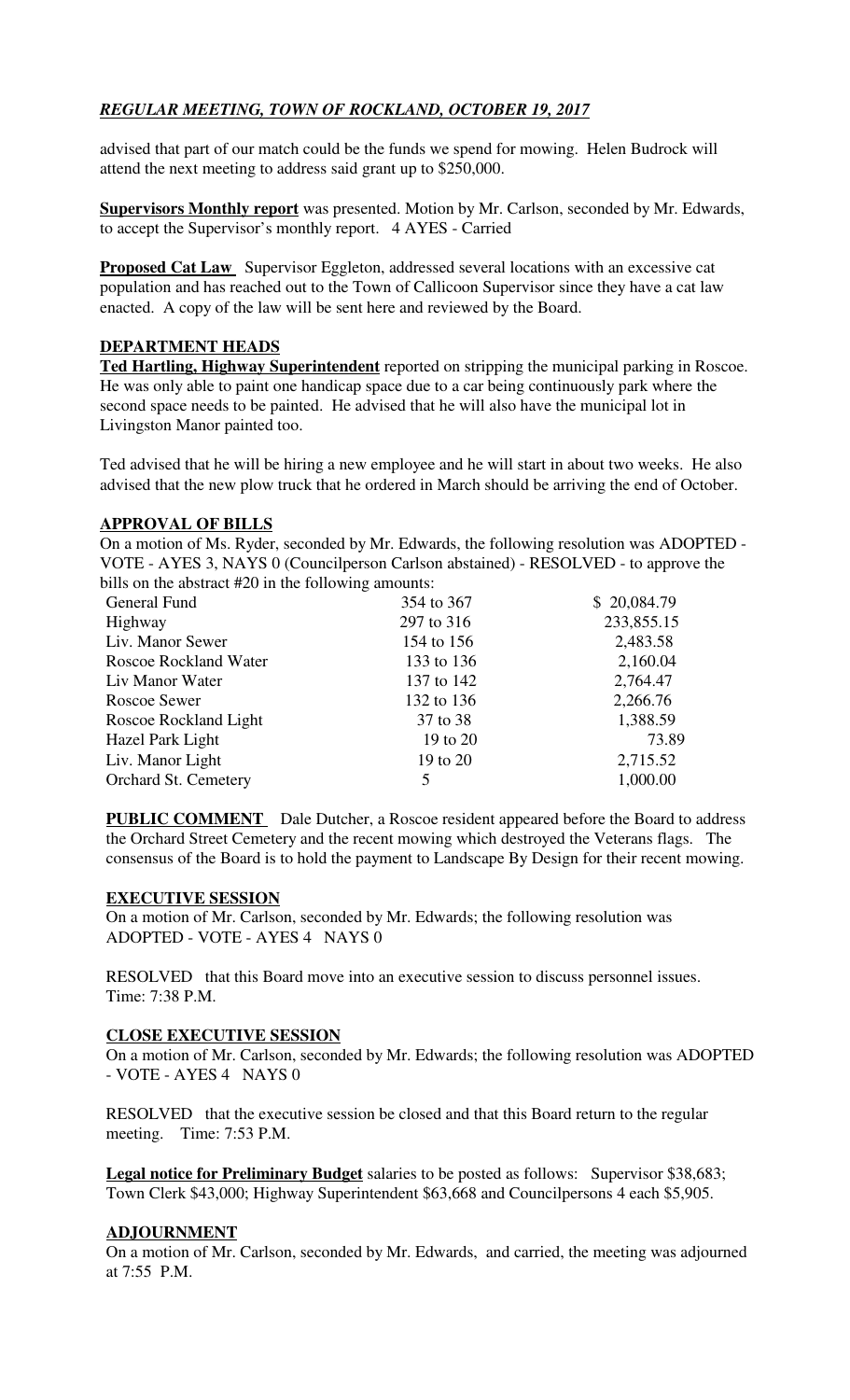# *REGULAR MEETING, TOWN OF ROCKLAND, OCTOBER 19, 2017*

advised that part of our match could be the funds we spend for mowing. Helen Budrock will attend the next meeting to address said grant up to \$250,000.

**Supervisors Monthly report** was presented. Motion by Mr. Carlson, seconded by Mr. Edwards, to accept the Supervisor's monthly report. 4 AYES - Carried

**Proposed Cat Law** Supervisor Eggleton, addressed several locations with an excessive cat population and has reached out to the Town of Callicoon Supervisor since they have a cat law enacted. A copy of the law will be sent here and reviewed by the Board.

## **DEPARTMENT HEADS**

**Ted Hartling, Highway Superintendent** reported on stripping the municipal parking in Roscoe. He was only able to paint one handicap space due to a car being continuously park where the second space needs to be painted. He advised that he will also have the municipal lot in Livingston Manor painted too.

Ted advised that he will be hiring a new employee and he will start in about two weeks. He also advised that the new plow truck that he ordered in March should be arriving the end of October.

## **APPROVAL OF BILLS**

On a motion of Ms. Ryder, seconded by Mr. Edwards, the following resolution was ADOPTED - VOTE - AYES 3, NAYS 0 (Councilperson Carlson abstained) - RESOLVED - to approve the bills on the abstract #20 in the following amounts:

|            | \$20,084.79 |
|------------|-------------|
| 297 to 316 | 233,855.15  |
| 154 to 156 | 2,483.58    |
| 133 to 136 | 2,160.04    |
| 137 to 142 | 2,764.47    |
| 132 to 136 | 2,266.76    |
| 37 to 38   | 1,388.59    |
| 19 to 20   | 73.89       |
| 19 to 20   | 2,715.52    |
| 5          | 1,000.00    |
|            | 354 to 367  |

**PUBLIC COMMENT** Dale Dutcher, a Roscoe resident appeared before the Board to address the Orchard Street Cemetery and the recent mowing which destroyed the Veterans flags. The consensus of the Board is to hold the payment to Landscape By Design for their recent mowing.

## **EXECUTIVE SESSION**

On a motion of Mr. Carlson, seconded by Mr. Edwards; the following resolution was ADOPTED - VOTE - AYES 4 NAYS 0

RESOLVED that this Board move into an executive session to discuss personnel issues. Time: 7:38 P.M.

## **CLOSE EXECUTIVE SESSION**

On a motion of Mr. Carlson, seconded by Mr. Edwards; the following resolution was ADOPTED - VOTE - AYES 4 NAYS 0

RESOLVED that the executive session be closed and that this Board return to the regular meeting. Time: 7:53 P.M.

**Legal notice for Preliminary Budget** salaries to be posted as follows: Supervisor \$38,683; Town Clerk \$43,000; Highway Superintendent \$63,668 and Councilpersons 4 each \$5,905.

## **ADJOURNMENT**

On a motion of Mr. Carlson, seconded by Mr. Edwards, and carried, the meeting was adjourned at 7:55 P.M.